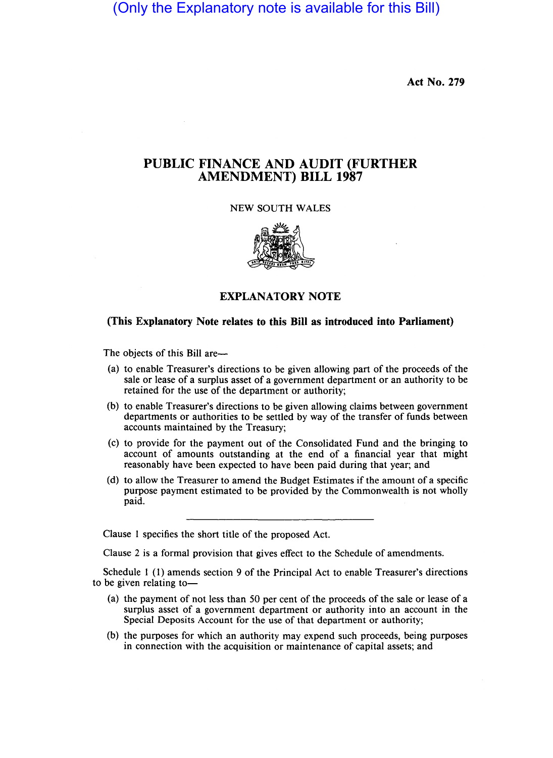(Only the Explanatory note is available for this Bill)

Act No. 279

## PUBLIC FINANCE AND AUDIT (FURTHER AMENDMENT) BILL 1987

## NEW SOUTH WALES



## EXPLANATORY NOTE

## (This Explanatory Note relates to this Bill as introduced into Parliament)

The objects of this Bill are-

- (a) to enable Treasurer's directions to be given allowing part of the proceeds of the sale or lease of a surplus asset of a government department or an authority to be retained for the use of the department or authority;
- (b) to enable Treasurer's directions to be given allowing claims between government departments or authorities to be settled by way of the transfer of funds between accounts maintained by the Treasury;
- (c) to provide for the payment out of the Consolidated Fund and the bringing to account of amounts outstanding at the end of a financial year that might reasonably have been expected to have been paid during that year; and
- (d) to allow the Treasurer to amend the Budget Estimates if the amount of a specific purpose payment estimated to be provided by the Commonwealth is not wholly paid.

Clause 1 specifies the short title of the proposed Act.

Clause 2 is a formal provision that gives effect to the Schedule of amendments.

Schedule 1 (1) amends section 9 of the Principal Act to enable Treasurer's directions to be given relating to-

- (a) the payment of not less than 50 per cent of the proceeds of the sale or lease of a surplus asset of a government department or authority into an account in the Special Deposits Account for the use of that department or authority;
- (b) the purposes for which an authority may expend such proceeds, being purposes in connection with the acquisition or maintenance of capital assets; and